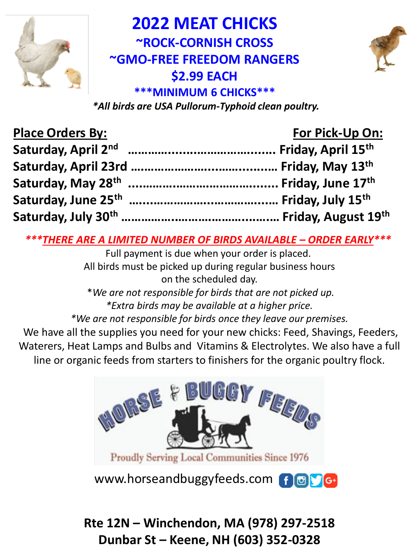

**2022 MEAT CHICKS ~ROCK-CORNISH CROSS ~GMO-FREE FREEDOM RANGERS \$2.99 EACH \*\*\*MINIMUM 6 CHICKS\*\*\***



*\*All birds are USA Pullorum-Typhoid clean poultry.* 

| <b>Place Orders By:</b> | For Pick-Up On: |  |  |
|-------------------------|-----------------|--|--|
|                         |                 |  |  |
|                         |                 |  |  |
|                         |                 |  |  |
|                         |                 |  |  |
|                         |                 |  |  |

*\*\*\*THERE ARE A LIMITED NUMBER OF BIRDS AVAILABLE – ORDER EARLY\*\*\**

Full payment is due when your order is placed. All birds must be picked up during regular business hours on the scheduled day.

\**We are not responsible for birds that are not picked up. \*Extra birds may be available at a higher price.* 

*\*We are not responsible for birds once they leave our premises.*

We have all the supplies you need for your new chicks: Feed, Shavings, Feeders, Waterers, Heat Lamps and Bulbs and Vitamins & Electrolytes. We also have a full line or organic feeds from starters to finishers for the organic poultry flock.



www.horseandbuggyfeeds.com f G FG

**Rte 12N – Winchendon, MA (978) 297-2518 Dunbar St – Keene, NH (603) 352-0328**